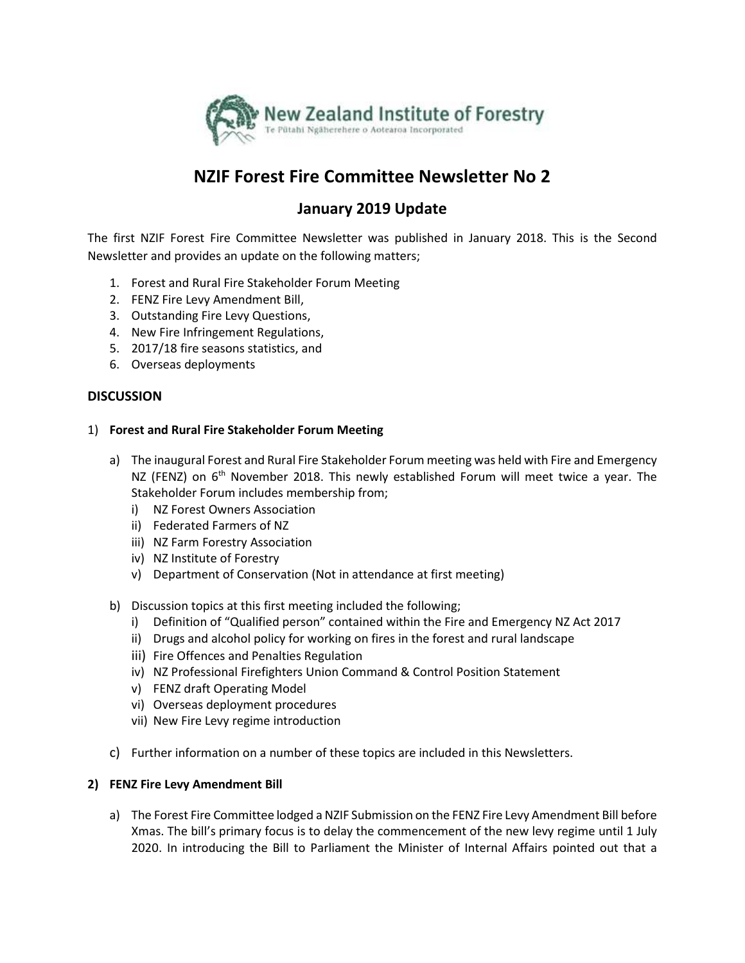

## **NZIF Forest Fire Committee Newsletter No 2**

## **January 2019 Update**

The first NZIF Forest Fire Committee Newsletter was published in January 2018. This is the Second Newsletter and provides an update on the following matters;

- 1. Forest and Rural Fire Stakeholder Forum Meeting
- 2. FENZ Fire Levy Amendment Bill,
- 3. Outstanding Fire Levy Questions,
- 4. New Fire Infringement Regulations,
- 5. 2017/18 fire seasons statistics, and
- 6. Overseas deployments

#### **DISCUSSION**

#### 1) **Forest and Rural Fire Stakeholder Forum Meeting**

- a) The inaugural Forest and Rural Fire Stakeholder Forum meeting was held with Fire and Emergency NZ (FENZ) on  $6<sup>th</sup>$  November 2018. This newly established Forum will meet twice a year. The Stakeholder Forum includes membership from;
	- i) NZ Forest Owners Association
	- ii) Federated Farmers of NZ
	- iii) NZ Farm Forestry Association
	- iv) NZ Institute of Forestry
	- v) Department of Conservation (Not in attendance at first meeting)
- b) Discussion topics at this first meeting included the following;
	- i) Definition of "Qualified person" contained within the Fire and Emergency NZ Act 2017
	- ii) Drugs and alcohol policy for working on fires in the forest and rural landscape
	- iii) Fire Offences and Penalties Regulation
	- iv) NZ Professional Firefighters Union Command & Control Position Statement
	- v) FENZ draft Operating Model
	- vi) Overseas deployment procedures
	- vii) New Fire Levy regime introduction
- c) Further information on a number of these topics are included in this Newsletters.

#### **2) FENZ Fire Levy Amendment Bill**

a) The Forest Fire Committee lodged a NZIF Submission on the FENZ Fire Levy Amendment Bill before Xmas. The bill's primary focus is to delay the commencement of the new levy regime until 1 July 2020. In introducing the Bill to Parliament the Minister of Internal Affairs pointed out that a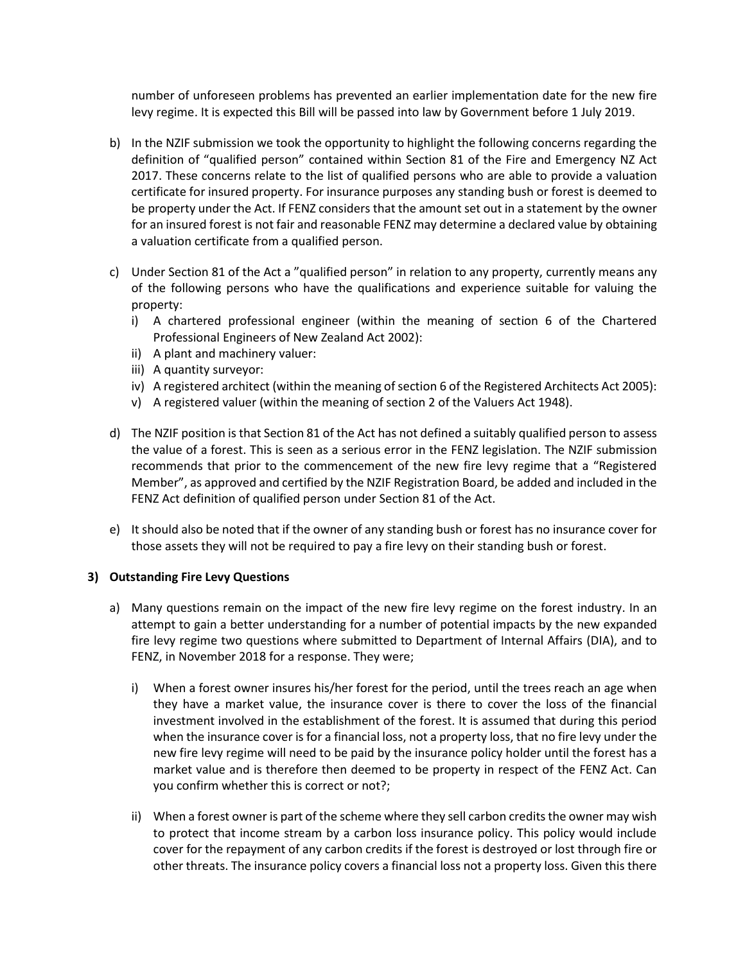number of unforeseen problems has prevented an earlier implementation date for the new fire levy regime. It is expected this Bill will be passed into law by Government before 1 July 2019.

- b) In the NZIF submission we took the opportunity to highlight the following concerns regarding the definition of "qualified person" contained within Section 81 of the Fire and Emergency NZ Act 2017. These concerns relate to the list of qualified persons who are able to provide a valuation certificate for insured property. For insurance purposes any standing bush or forest is deemed to be property under the Act. If FENZ considers that the amount set out in a statement by the owner for an insured forest is not fair and reasonable FENZ may determine a declared value by obtaining a valuation certificate from a qualified person.
- c) Under Section 81 of the Act a "qualified person" in relation to any property, currently means any of the following persons who have the qualifications and experience suitable for valuing the property:
	- i) A chartered professional engineer (within the meaning of section 6 of the Chartered Professional Engineers of New Zealand Act 2002):
	- ii) A plant and machinery valuer:
	- iii) A quantity surveyor:
	- iv) A registered architect (within the meaning of section 6 of the Registered Architects Act 2005):
	- v) A registered valuer (within the meaning of section 2 of the Valuers Act 1948).
- d) The NZIF position is that Section 81 of the Act has not defined a suitably qualified person to assess the value of a forest. This is seen as a serious error in the FENZ legislation. The NZIF submission recommends that prior to the commencement of the new fire levy regime that a "Registered Member", as approved and certified by the NZIF Registration Board, be added and included in the FENZ Act definition of qualified person under Section 81 of the Act.
- e) It should also be noted that if the owner of any standing bush or forest has no insurance cover for those assets they will not be required to pay a fire levy on their standing bush or forest.

#### **3) Outstanding Fire Levy Questions**

- a) Many questions remain on the impact of the new fire levy regime on the forest industry. In an attempt to gain a better understanding for a number of potential impacts by the new expanded fire levy regime two questions where submitted to Department of Internal Affairs (DIA), and to FENZ, in November 2018 for a response. They were;
	- i) When a forest owner insures his/her forest for the period, until the trees reach an age when they have a market value, the insurance cover is there to cover the loss of the financial investment involved in the establishment of the forest. It is assumed that during this period when the insurance cover is for a financial loss, not a property loss, that no fire levy under the new fire levy regime will need to be paid by the insurance policy holder until the forest has a market value and is therefore then deemed to be property in respect of the FENZ Act. Can you confirm whether this is correct or not?;
	- ii) When a forest owner is part of the scheme where they sell carbon credits the owner may wish to protect that income stream by a carbon loss insurance policy. This policy would include cover for the repayment of any carbon credits if the forest is destroyed or lost through fire or other threats. The insurance policy covers a financial loss not a property loss. Given this there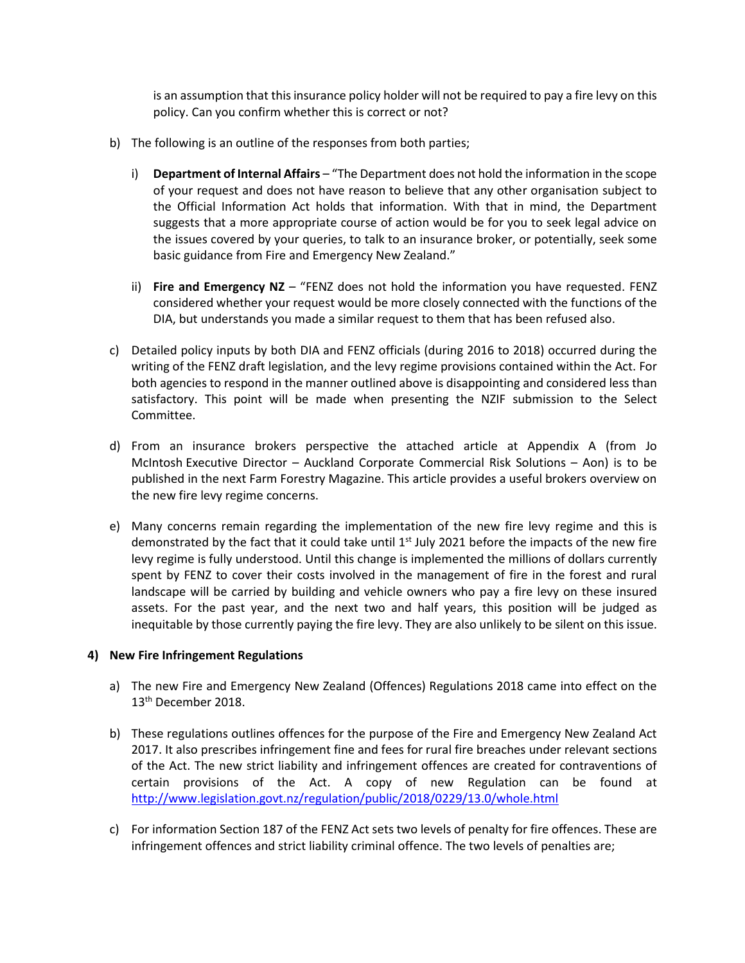is an assumption that this insurance policy holder will not be required to pay a fire levy on this policy. Can you confirm whether this is correct or not?

- b) The following is an outline of the responses from both parties;
	- i) **Department of Internal Affairs** "The Department does not hold the information in the scope of your request and does not have reason to believe that any other organisation subject to the Official Information Act holds that information. With that in mind, the Department suggests that a more appropriate course of action would be for you to seek legal advice on the issues covered by your queries, to talk to an insurance broker, or potentially, seek some basic guidance from Fire and Emergency New Zealand."
	- ii) **Fire and Emergency NZ**  "FENZ does not hold the information you have requested. FENZ considered whether your request would be more closely connected with the functions of the DIA, but understands you made a similar request to them that has been refused also.
- c) Detailed policy inputs by both DIA and FENZ officials (during 2016 to 2018) occurred during the writing of the FENZ draft legislation, and the levy regime provisions contained within the Act. For both agencies to respond in the manner outlined above is disappointing and considered less than satisfactory. This point will be made when presenting the NZIF submission to the Select Committee.
- d) From an insurance brokers perspective the attached article at Appendix A (from Jo McIntosh Executive Director – Auckland Corporate Commercial Risk Solutions – Aon) is to be published in the next Farm Forestry Magazine. This article provides a useful brokers overview on the new fire levy regime concerns.
- e) Many concerns remain regarding the implementation of the new fire levy regime and this is demonstrated by the fact that it could take until  $1<sup>st</sup>$  July 2021 before the impacts of the new fire levy regime is fully understood. Until this change is implemented the millions of dollars currently spent by FENZ to cover their costs involved in the management of fire in the forest and rural landscape will be carried by building and vehicle owners who pay a fire levy on these insured assets. For the past year, and the next two and half years, this position will be judged as inequitable by those currently paying the fire levy. They are also unlikely to be silent on this issue.

#### **4) New Fire Infringement Regulations**

- a) The new Fire and Emergency New Zealand (Offences) Regulations 2018 came into effect on the 13<sup>th</sup> December 2018.
- b) These regulations outlines offences for the purpose of the Fire and Emergency New Zealand Act 2017. It also prescribes infringement fine and fees for rural fire breaches under relevant sections of the Act. The new strict liability and infringement offences are created for contraventions of certain provisions of the Act. A copy of new Regulation can be found at <http://www.legislation.govt.nz/regulation/public/2018/0229/13.0/whole.html>
- c) For information Section 187 of the FENZ Act sets two levels of penalty for fire offences. These are infringement offences and strict liability criminal offence. The two levels of penalties are;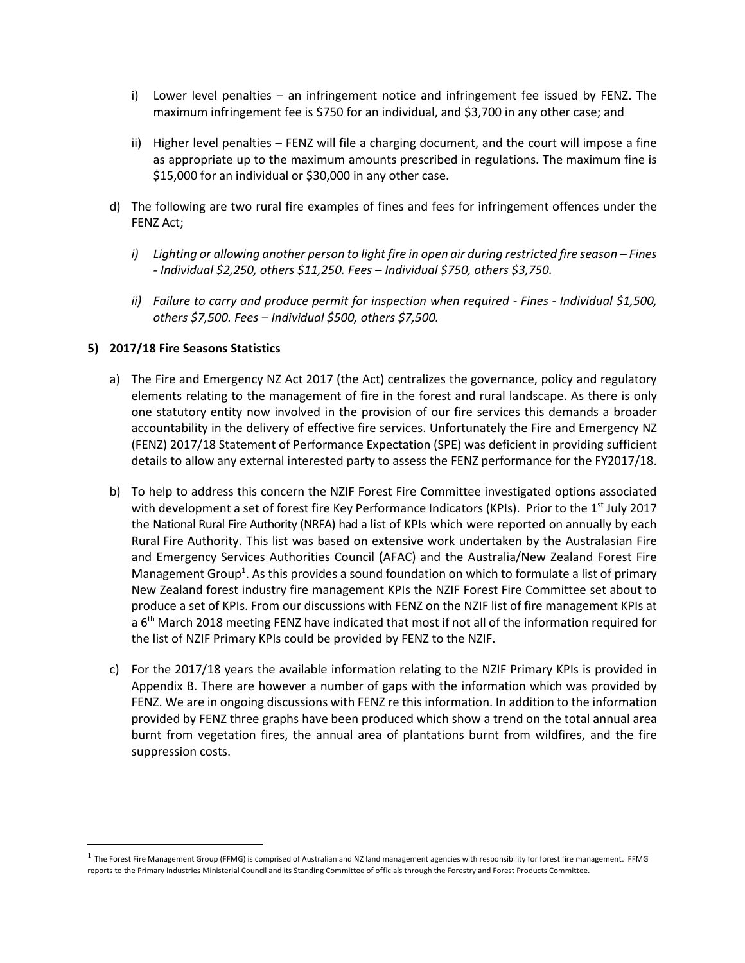- i) Lower level penalties an infringement notice and infringement fee issued by FENZ. The maximum infringement fee is \$750 for an individual, and \$3,700 in any other case; and
- ii) Higher level penalties FENZ will file a charging document, and the court will impose a fine as appropriate up to the maximum amounts prescribed in regulations. The maximum fine is \$15,000 for an individual or \$30,000 in any other case.
- d) The following are two rural fire examples of fines and fees for infringement offences under the FENZ Act;
	- *i*) Lighting or allowing another person to light fire in open air during restricted fire season Fines *- Individual \$2,250, others \$11,250. Fees – Individual \$750, others \$3,750.*
	- *ii) Failure to carry and produce permit for inspection when required - Fines - Individual \$1,500, others \$7,500. Fees – Individual \$500, others \$7,500.*

#### **5) 2017/18 Fire Seasons Statistics**

 $\overline{\phantom{a}}$ 

- a) The Fire and Emergency NZ Act 2017 (the Act) centralizes the governance, policy and regulatory elements relating to the management of fire in the forest and rural landscape. As there is only one statutory entity now involved in the provision of our fire services this demands a broader accountability in the delivery of effective fire services. Unfortunately the Fire and Emergency NZ (FENZ) 2017/18 Statement of Performance Expectation (SPE) was deficient in providing sufficient details to allow any external interested party to assess the FENZ performance for the FY2017/18.
- b) To help to address this concern the NZIF Forest Fire Committee investigated options associated with development a set of forest fire Key Performance Indicators (KPIs). Prior to the 1<sup>st</sup> July 2017 the National Rural Fire Authority (NRFA) had a list of KPIs which were reported on annually by each Rural Fire Authority. This list was based on extensive work undertaken by the Australasian Fire and Emergency Services Authorities Council **(**AFAC) and the Australia/New Zealand Forest Fire Management Group<sup>1</sup>. As this provides a sound foundation on which to formulate a list of primary New Zealand forest industry fire management KPIs the NZIF Forest Fire Committee set about to produce a set of KPIs. From our discussions with FENZ on the NZIF list of fire management KPIs at a 6<sup>th</sup> March 2018 meeting FENZ have indicated that most if not all of the information required for the list of NZIF Primary KPIs could be provided by FENZ to the NZIF.
- c) For the 2017/18 years the available information relating to the NZIF Primary KPIs is provided in Appendix B. There are however a number of gaps with the information which was provided by FENZ. We are in ongoing discussions with FENZ re this information. In addition to the information provided by FENZ three graphs have been produced which show a trend on the total annual area burnt from vegetation fires, the annual area of plantations burnt from wildfires, and the fire suppression costs.

 $^1$  The Forest Fire Management Group (FFMG) is comprised of Australian and NZ land management agencies with responsibility for forest fire management. FFMG reports to the Primary Industries Ministerial Council and its Standing Committee of officials through the Forestry and Forest Products Committee.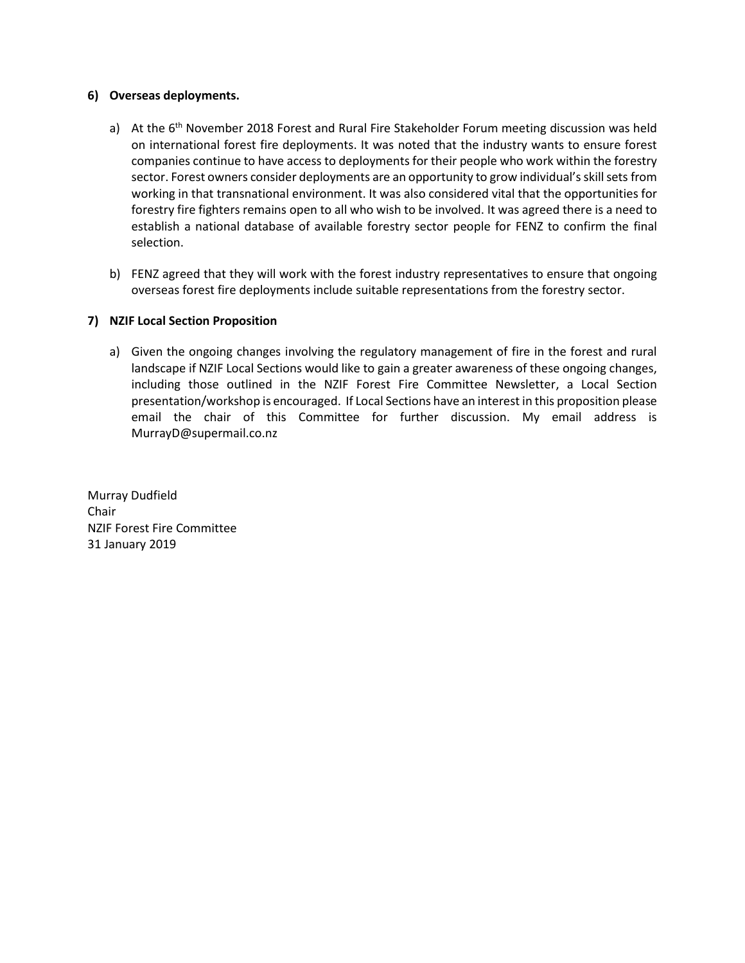#### **6) Overseas deployments.**

- a) At the 6<sup>th</sup> November 2018 Forest and Rural Fire Stakeholder Forum meeting discussion was held on international forest fire deployments. It was noted that the industry wants to ensure forest companies continue to have access to deployments for their people who work within the forestry sector. Forest owners consider deployments are an opportunity to grow individual's skill sets from working in that transnational environment. It was also considered vital that the opportunities for forestry fire fighters remains open to all who wish to be involved. It was agreed there is a need to establish a national database of available forestry sector people for FENZ to confirm the final selection.
- b) FENZ agreed that they will work with the forest industry representatives to ensure that ongoing overseas forest fire deployments include suitable representations from the forestry sector.

#### **7) NZIF Local Section Proposition**

a) Given the ongoing changes involving the regulatory management of fire in the forest and rural landscape if NZIF Local Sections would like to gain a greater awareness of these ongoing changes, including those outlined in the NZIF Forest Fire Committee Newsletter, a Local Section presentation/workshop is encouraged. If Local Sections have an interest in this proposition please email the chair of this Committee for further discussion. My email address is MurrayD@supermail.co.nz

Murray Dudfield Chair NZIF Forest Fire Committee 31 January 2019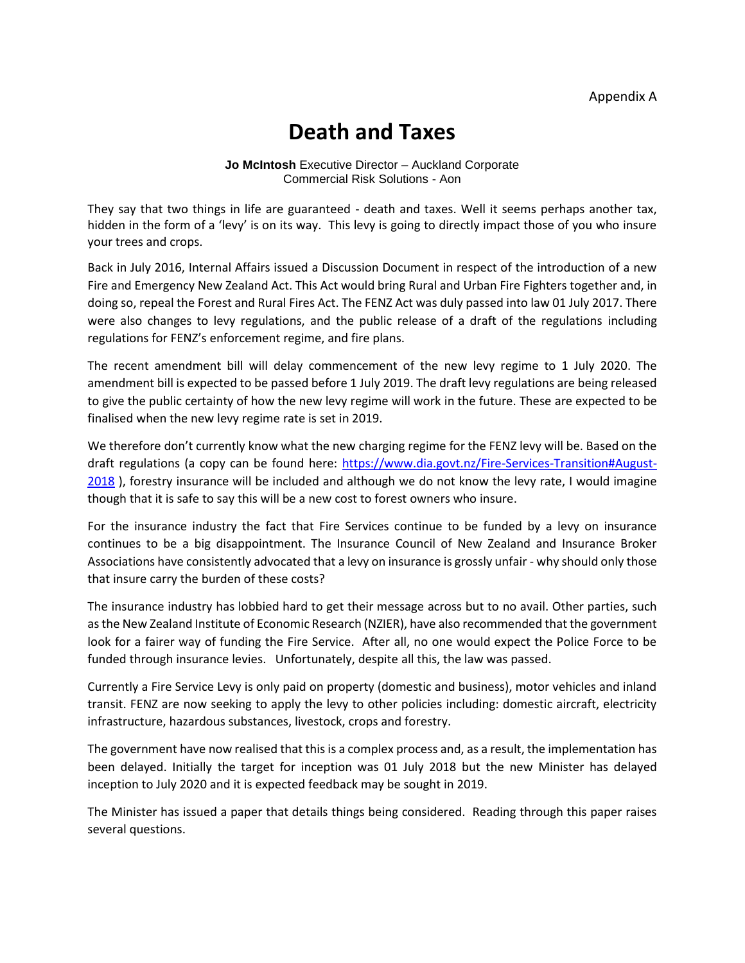# **Death and Taxes**

**Jo McIntosh** Executive Director – Auckland Corporate Commercial Risk Solutions - Aon

They say that two things in life are guaranteed - death and taxes. Well it seems perhaps another tax, hidden in the form of a 'levy' is on its way. This levy is going to directly impact those of you who insure your trees and crops.

Back in July 2016, Internal Affairs issued a Discussion Document in respect of the introduction of a new Fire and Emergency New Zealand Act. This Act would bring Rural and Urban Fire Fighters together and, in doing so, repeal the Forest and Rural Fires Act. The FENZ Act was duly passed into law 01 July 2017. There were also changes to levy regulations, and the public release of a draft of the regulations including regulations for FENZ's enforcement regime, and fire plans.

The recent amendment bill will delay commencement of the new levy regime to 1 July 2020. The amendment bill is expected to be passed before 1 July 2019. The draft levy regulations are being released to give the public certainty of how the new levy regime will work in the future. These are expected to be finalised when the new levy regime rate is set in 2019.

We therefore don't currently know what the new charging regime for the FENZ levy will be. Based on the draft regulations (a copy can be found here: [https://www.dia.govt.nz/Fire-Services-Transition#August-](https://www.dia.govt.nz/Fire-Services-Transition#August-2018)[2018](https://www.dia.govt.nz/Fire-Services-Transition#August-2018) ), forestry insurance will be included and although we do not know the levy rate, I would imagine though that it is safe to say this will be a new cost to forest owners who insure.

For the insurance industry the fact that Fire Services continue to be funded by a levy on insurance continues to be a big disappointment. The Insurance Council of New Zealand and Insurance Broker Associations have consistently advocated that a levy on insurance is grossly unfair - why should only those that insure carry the burden of these costs?

The insurance industry has lobbied hard to get their message across but to no avail. Other parties, such as the New Zealand Institute of Economic Research (NZIER), have also recommended that the government look for a fairer way of funding the Fire Service. After all, no one would expect the Police Force to be funded through insurance levies. Unfortunately, despite all this, the law was passed.

Currently a Fire Service Levy is only paid on property (domestic and business), motor vehicles and inland transit. FENZ are now seeking to apply the levy to other policies including: domestic aircraft, electricity infrastructure, hazardous substances, livestock, crops and forestry.

The government have now realised that this is a complex process and, as a result, the implementation has been delayed. Initially the target for inception was 01 July 2018 but the new Minister has delayed inception to July 2020 and it is expected feedback may be sought in 2019.

The Minister has issued a paper that details things being considered. Reading through this paper raises several questions.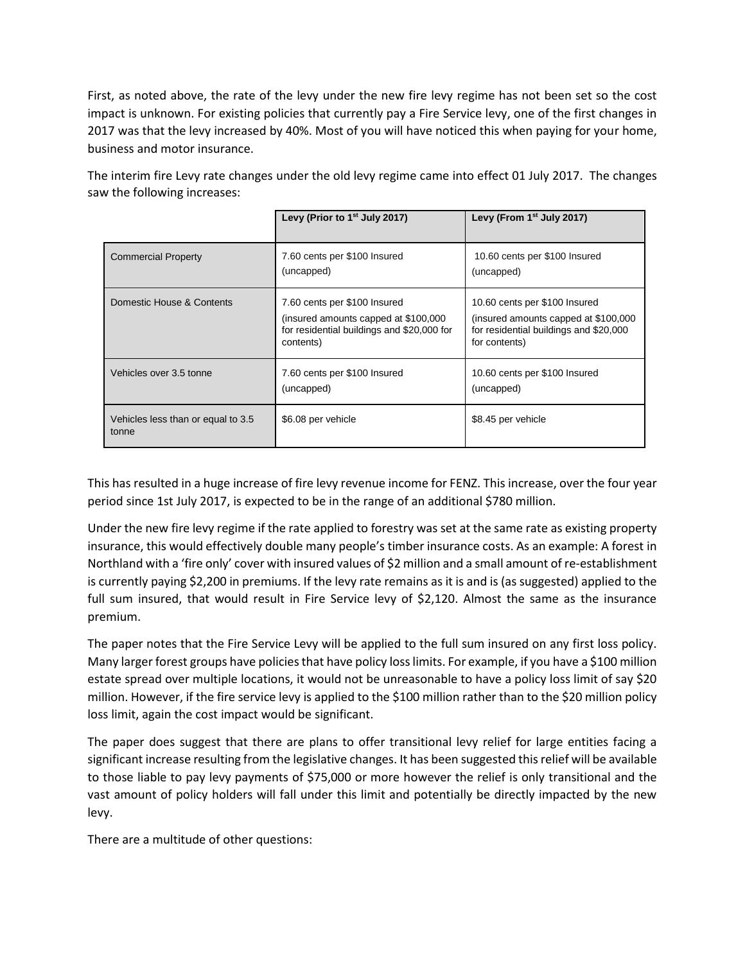First, as noted above, the rate of the levy under the new fire levy regime has not been set so the cost impact is unknown. For existing policies that currently pay a Fire Service levy, one of the first changes in 2017 was that the levy increased by 40%. Most of you will have noticed this when paying for your home, business and motor insurance.

The interim fire Levy rate changes under the old levy regime came into effect 01 July 2017. The changes saw the following increases:

|                                             | Levy (Prior to $1st$ July 2017)                                                                                                  | Levy (From $1st$ July 2017)                                                                                                       |  |
|---------------------------------------------|----------------------------------------------------------------------------------------------------------------------------------|-----------------------------------------------------------------------------------------------------------------------------------|--|
| <b>Commercial Property</b>                  | 7.60 cents per \$100 Insured<br>(uncapped)                                                                                       | 10.60 cents per \$100 Insured<br>(uncapped)                                                                                       |  |
| Domestic House & Contents                   | 7.60 cents per \$100 Insured<br>(insured amounts capped at \$100,000)<br>for residential buildings and \$20,000 for<br>contents) | 10.60 cents per \$100 Insured<br>(insured amounts capped at \$100,000)<br>for residential buildings and \$20,000<br>for contents) |  |
| Vehicles over 3.5 tonne                     | 7.60 cents per \$100 Insured<br>(uncapped)                                                                                       | 10.60 cents per \$100 Insured<br>(uncapped)                                                                                       |  |
| Vehicles less than or equal to 3.5<br>tonne | \$6.08 per vehicle                                                                                                               | \$8.45 per vehicle                                                                                                                |  |

This has resulted in a huge increase of fire levy revenue income for FENZ. This increase, over the four year period since 1st July 2017, is expected to be in the range of an additional \$780 million.

Under the new fire levy regime if the rate applied to forestry was set at the same rate as existing property insurance, this would effectively double many people's timber insurance costs. As an example: A forest in Northland with a 'fire only' cover with insured values of \$2 million and a small amount of re-establishment is currently paying \$2,200 in premiums. If the levy rate remains as it is and is (as suggested) applied to the full sum insured, that would result in Fire Service levy of \$2,120. Almost the same as the insurance premium.

The paper notes that the Fire Service Levy will be applied to the full sum insured on any first loss policy. Many larger forest groups have policies that have policy loss limits. For example, if you have a \$100 million estate spread over multiple locations, it would not be unreasonable to have a policy loss limit of say \$20 million. However, if the fire service levy is applied to the \$100 million rather than to the \$20 million policy loss limit, again the cost impact would be significant.

The paper does suggest that there are plans to offer transitional levy relief for large entities facing a significant increase resulting from the legislative changes. It has been suggested this relief will be available to those liable to pay levy payments of \$75,000 or more however the relief is only transitional and the vast amount of policy holders will fall under this limit and potentially be directly impacted by the new levy.

There are a multitude of other questions: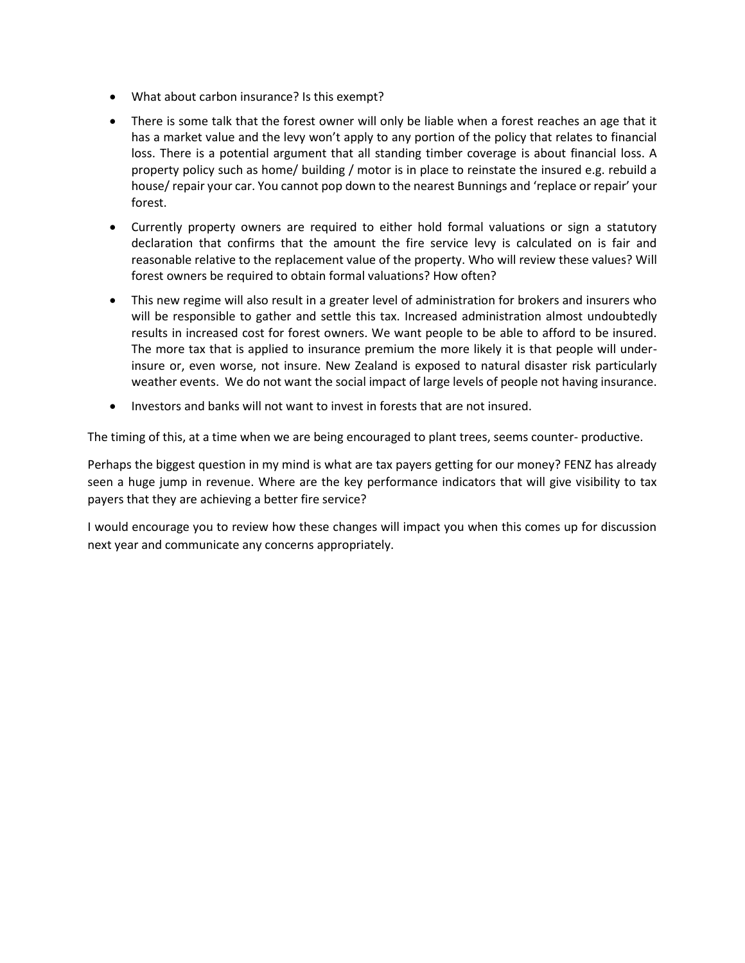- What about carbon insurance? Is this exempt?
- There is some talk that the forest owner will only be liable when a forest reaches an age that it has a market value and the levy won't apply to any portion of the policy that relates to financial loss. There is a potential argument that all standing timber coverage is about financial loss. A property policy such as home/ building / motor is in place to reinstate the insured e.g. rebuild a house/ repair your car. You cannot pop down to the nearest Bunnings and 'replace or repair' your forest.
- Currently property owners are required to either hold formal valuations or sign a statutory declaration that confirms that the amount the fire service levy is calculated on is fair and reasonable relative to the replacement value of the property. Who will review these values? Will forest owners be required to obtain formal valuations? How often?
- This new regime will also result in a greater level of administration for brokers and insurers who will be responsible to gather and settle this tax. Increased administration almost undoubtedly results in increased cost for forest owners. We want people to be able to afford to be insured. The more tax that is applied to insurance premium the more likely it is that people will underinsure or, even worse, not insure. New Zealand is exposed to natural disaster risk particularly weather events. We do not want the social impact of large levels of people not having insurance.
- Investors and banks will not want to invest in forests that are not insured.

The timing of this, at a time when we are being encouraged to plant trees, seems counter- productive.

Perhaps the biggest question in my mind is what are tax payers getting for our money? FENZ has already seen a huge jump in revenue. Where are the key performance indicators that will give visibility to tax payers that they are achieving a better fire service?

I would encourage you to review how these changes will impact you when this comes up for discussion next year and communicate any concerns appropriately.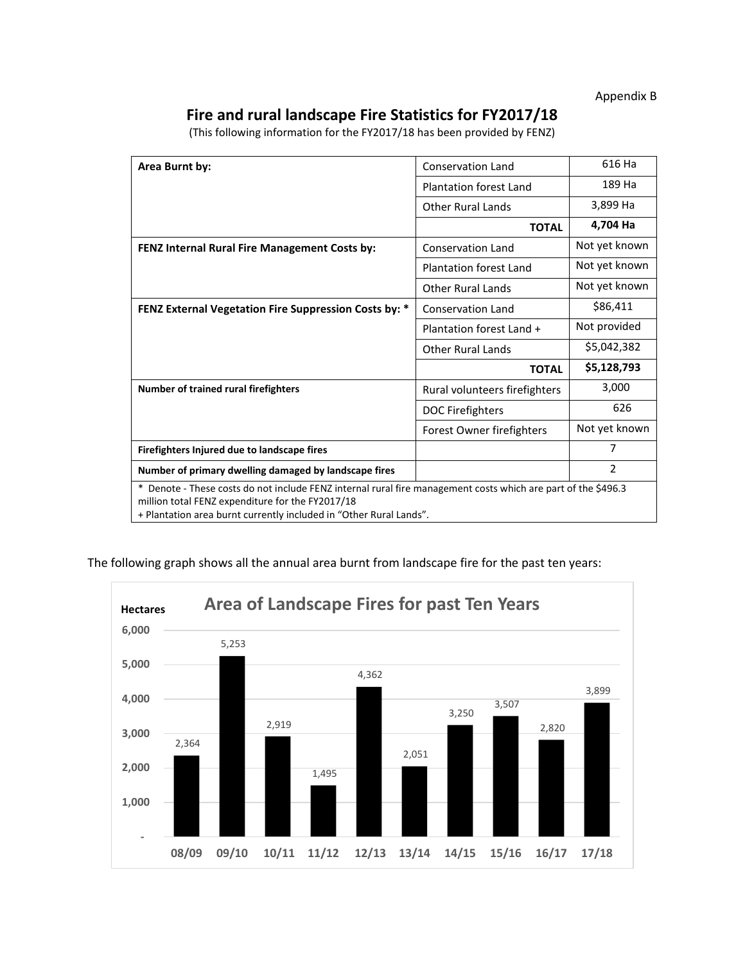Appendix B

### **Fire and rural landscape Fire Statistics for FY2017/18**

(This following information for the FY2017/18 has been provided by FENZ)

| Area Burnt by:                                                                                                                                                                                                                             | Conservation Land             | 616 Ha         |  |
|--------------------------------------------------------------------------------------------------------------------------------------------------------------------------------------------------------------------------------------------|-------------------------------|----------------|--|
|                                                                                                                                                                                                                                            | <b>Plantation forest Land</b> | 189 Ha         |  |
|                                                                                                                                                                                                                                            | <b>Other Rural Lands</b>      | 3,899 Ha       |  |
|                                                                                                                                                                                                                                            | <b>TOTAL</b>                  | 4,704 Ha       |  |
| FENZ Internal Rural Fire Management Costs by:                                                                                                                                                                                              | <b>Conservation Land</b>      | Not yet known  |  |
|                                                                                                                                                                                                                                            | <b>Plantation forest Land</b> | Not yet known  |  |
|                                                                                                                                                                                                                                            | <b>Other Rural Lands</b>      | Not yet known  |  |
| FENZ External Vegetation Fire Suppression Costs by: *                                                                                                                                                                                      | <b>Conservation Land</b>      | \$86,411       |  |
|                                                                                                                                                                                                                                            | Plantation forest Land +      | Not provided   |  |
|                                                                                                                                                                                                                                            | <b>Other Rural Lands</b>      | \$5,042,382    |  |
|                                                                                                                                                                                                                                            | <b>TOTAL</b>                  | \$5,128,793    |  |
| Number of trained rural firefighters                                                                                                                                                                                                       | Rural volunteers firefighters | 3,000          |  |
|                                                                                                                                                                                                                                            | DOC Firefighters              | 626            |  |
|                                                                                                                                                                                                                                            | Forest Owner firefighters     | Not yet known  |  |
| Firefighters Injured due to landscape fires                                                                                                                                                                                                |                               | 7              |  |
| Number of primary dwelling damaged by landscape fires                                                                                                                                                                                      |                               | $\overline{2}$ |  |
| Denote - These costs do not include FENZ internal rural fire management costs which are part of the \$496.3<br>*<br>million total FENZ expenditure for the FY2017/18<br>+ Plantation area burnt currently included in "Other Rural Lands". |                               |                |  |